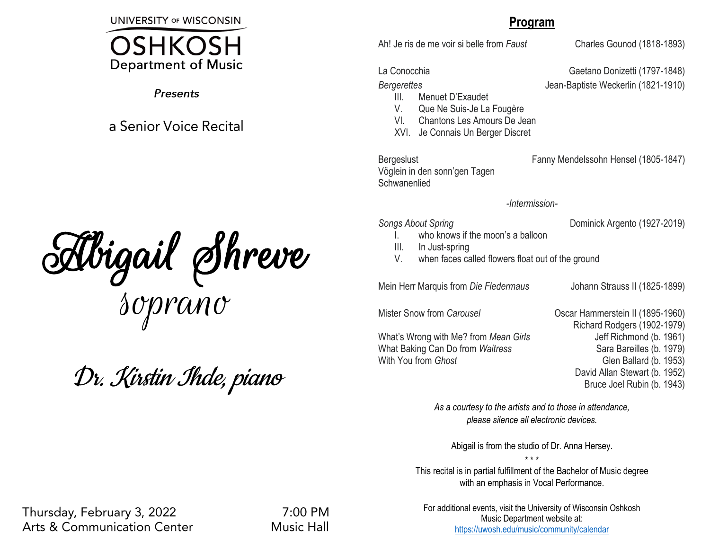**UNIVERSITY OF WISCONSIN** 

**OSHKOSH Department of Music** 

**Presents** 

a Senior Voice Recital



Dr. Kirstin Ihde, piano

**Program**

Ah! Je ris de me voir si belle from *Faust* Charles Gounod (1818-1893)

La Conocchia Gaetano Donizetti (1797-1848) *Bergerettes* Jean-Baptiste Weckerlin (1821-1910)

- III. Menuet D'Exaudet
- V. Que Ne Suis-Je La Fougère
- VI. Chantons Les Amours De Jean
- XVI. Je Connais Un Berger Discret

Vöglein in den sonn'gen Tagen **Schwanenlied** 

Bergeslust Fanny Mendelssohn Hensel (1805-1847)

*-Intermission-*

**Songs About Spring Commission Commission Commission Commission Commission Commission Commission Commission Commission Commission Commission Commission Commission Commission Commission Commission Commission Commission Co** 

- I. who knows if the moon's a balloon
- III. In Just-spring
- V. when faces called flowers float out of the ground

Mein Herr Marquis from *Die Fledermaus* Johann Strauss II (1825-1899)

What's Wrong with Me? from *Mean Girls* Jeff Richmond (b. 1961) What Baking Can Do from *Waitress* Sara Bareilles (b. 1979) With You from *Ghost* Glen Ballard (b. 1953)

Mister Snow from *Carousel* Oscar Hammerstein II (1895-1960) Richard Rodgers (1902-1979) David Allan Stewart (b. 1952) Bruce Joel Rubin (b. 1943)

> *As a courtesy to the artists and to those in attendance, please silence all electronic devices.*

Abigail is from the studio of Dr. Anna Hersey.

\* \* \*

This recital is in partial fulfillment of the Bachelor of Music degree with an emphasis in Vocal Performance.

Thursday, February 3, 2022 Arts & Communication Center

 $7:00 \text{ PM}$ **Music Hall** 

For additional events, visit the University of Wisconsin Oshkosh Music Department website at: <https://uwosh.edu/music/community/calendar>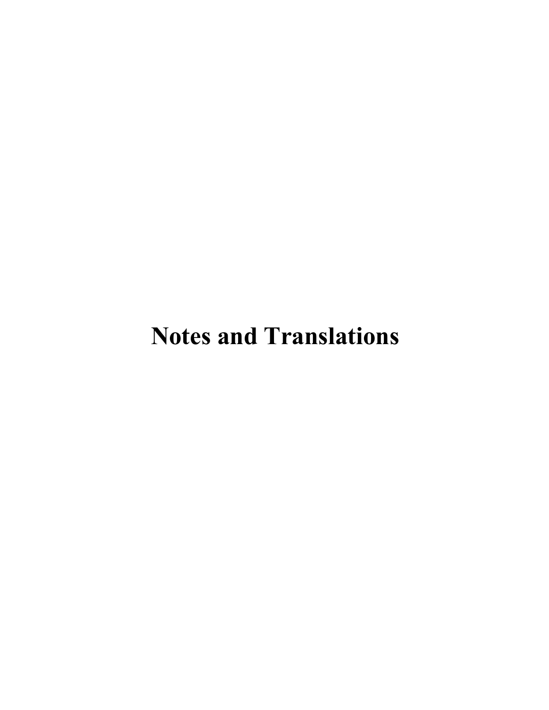# **Notes and Translations**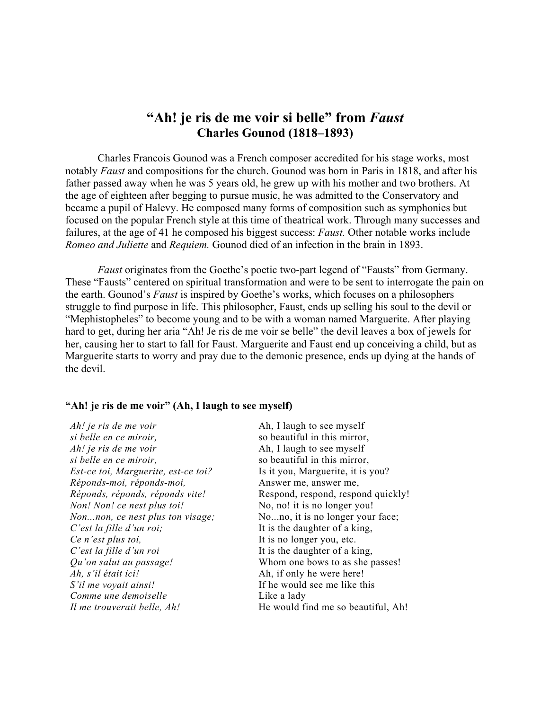# **"Ah! je ris de me voir si belle" from** *Faust*  **Charles Gounod (1818–1893)**

Charles Francois Gounod was a French composer accredited for his stage works, most notably *Faust* and compositions for the church. Gounod was born in Paris in 1818, and after his father passed away when he was 5 years old, he grew up with his mother and two brothers. At the age of eighteen after begging to pursue music, he was admitted to the Conservatory and became a pupil of Halevy. He composed many forms of composition such as symphonies but focused on the popular French style at this time of theatrical work. Through many successes and failures, at the age of 41 he composed his biggest success: *Faust.* Other notable works include *Romeo and Juliette* and *Requiem.* Gounod died of an infection in the brain in 1893.

*Faust* originates from the Goethe's poetic two-part legend of "Fausts" from Germany. These "Fausts" centered on spiritual transformation and were to be sent to interrogate the pain on the earth. Gounod's *Faust* is inspired by Goethe's works, which focuses on a philosophers struggle to find purpose in life. This philosopher, Faust, ends up selling his soul to the devil or "Mephistopheles" to become young and to be with a woman named Marguerite. After playing hard to get, during her aria "Ah! Je ris de me voir se belle" the devil leaves a box of jewels for her, causing her to start to fall for Faust. Marguerite and Faust end up conceiving a child, but as Marguerite starts to worry and pray due to the demonic presence, ends up dying at the hands of the devil.

## **"Ah! je ris de me voir" (Ah, I laugh to see myself)**

*Ah! je ris de me voir si belle en ce miroir, Ah! je ris de me voir si belle en ce miroir, Est-ce toi, Marguerite, est-ce toi? Réponds-moi, réponds-moi, Réponds, réponds, réponds vite! Non! Non! ce nest plus toi! Non...non, ce nest plus ton visage; C'est la fille d'un roi; Ce n'est plus toi, C'est la fille d'un roi Qu'on salut au passage! Ah, s'il était ici! S'il me voyait ainsi! Comme une demoiselle Il me trouverait belle, Ah!* 

Ah, I laugh to see myself so beautiful in this mirror, Ah, I laugh to see myself so beautiful in this mirror, Is it you, Marguerite, it is you? Answer me, answer me, Respond, respond, respond quickly! No, no! it is no longer you! No...no, it is no longer your face; It is the daughter of a king, It is no longer you, etc. It is the daughter of a king, Whom one bows to as she passes! Ah, if only he were here! If he would see me like this Like a lady He would find me so beautiful, Ah!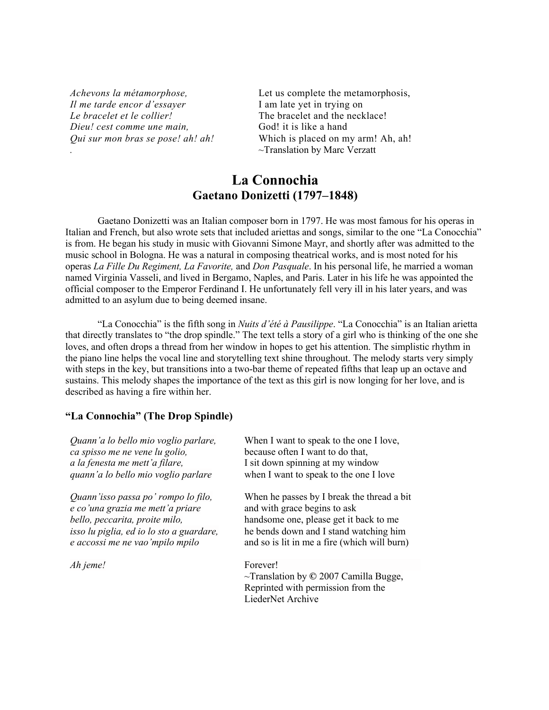*Achevons la métamorphose, Il me tarde encor d'essayer Le bracelet et le collier! Dieu! cest comme une main, Qui sur mon bras se pose! ah! ah!* 

*.*

Let us complete the metamorphosis, I am late yet in trying on The bracelet and the necklace! God! it is like a hand Which is placed on my arm! Ah, ah! ~Translation by Marc Verzatt

## **La Connochia Gaetano Donizetti (1797–1848)**

Gaetano Donizetti was an Italian composer born in 1797. He was most famous for his operas in Italian and French, but also wrote sets that included ariettas and songs, similar to the one "La Conocchia" is from. He began his study in music with Giovanni Simone Mayr, and shortly after was admitted to the music school in Bologna. He was a natural in composing theatrical works, and is most noted for his operas *La Fille Du Regiment, La Favorite,* and *Don Pasquale*. In his personal life, he married a woman named Virginia Vasseli, and lived in Bergamo, Naples, and Paris. Later in his life he was appointed the official composer to the Emperor Ferdinand I. He unfortunately fell very ill in his later years, and was admitted to an asylum due to being deemed insane.

"La Conocchia" is the fifth song in *Nuits d'été à Pausilippe*. "La Conocchia" is an Italian arietta that directly translates to "the drop spindle." The text tells a story of a girl who is thinking of the one she loves, and often drops a thread from her window in hopes to get his attention. The simplistic rhythm in the piano line helps the vocal line and storytelling text shine throughout. The melody starts very simply with steps in the key, but transitions into a two-bar theme of repeated fifths that leap up an octave and sustains. This melody shapes the importance of the text as this girl is now longing for her love, and is described as having a fire within her.

### **"La Connochia" (The Drop Spindle)**

*Quann'a lo bello mio voglio parlare, ca spisso me ne vene lu golio, a la fenesta me mett'a filare, quann'a lo bello mio voglio parlare*

*Quann'isso passa po' rompo lo filo, e co'una grazia me mett'a priare bello, peccarita, proite milo, isso lu piglia, ed io lo sto a guardare, e accossi me ne vao'mpilo mpilo*

*Ah jeme!*

When I want to speak to the one I love, because often I want to do that, I sit down spinning at my window when I want to speak to the one I love

When he passes by I break the thread a bit and with grace begins to ask handsome one, please get it back to me he bends down and I stand watching him and so is lit in me a fire (which will burn)

#### Forever!

~Translation by **©** 2007 Camilla Bugge, Reprinted with permission from the LiederNet Archive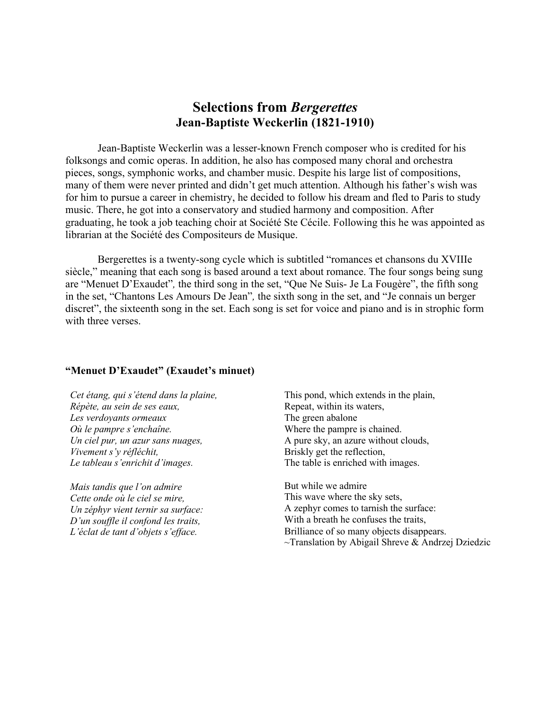## **Selections from** *Bergerettes* **Jean-Baptiste Weckerlin (1821-1910)**

Jean-Baptiste Weckerlin was a lesser-known French composer who is credited for his folksongs and comic operas. In addition, he also has composed many choral and orchestra pieces, songs, symphonic works, and chamber music. Despite his large list of compositions, many of them were never printed and didn't get much attention. Although his father's wish was for him to pursue a career in chemistry, he decided to follow his dream and fled to Paris to study music. There, he got into a conservatory and studied harmony and composition. After graduating, he took a job teaching choir at Société Ste Cécile. Following this he was appointed as librarian at the Société des Compositeurs de Musique.

Bergerettes is a twenty-song cycle which is subtitled "romances et chansons du XVIIIe siècle," meaning that each song is based around a text about romance. The four songs being sung are "Menuet D'Exaudet"*,* the third song in the set, "Que Ne Suis- Je La Fougère", the fifth song in the set, "Chantons Les Amours De Jean"*,* the sixth song in the set, and "Je connais un berger discret", the sixteenth song in the set. Each song is set for voice and piano and is in strophic form with three verses.

#### **"Menuet D'Exaudet" (Exaudet's minuet)**

*Cet étang, qui s'étend dans la plaine, Répète, au sein de ses eaux, Les verdoyants ormeaux Où le pampre s'enchaîne. Un ciel pur, un azur sans nuages, Vivement s'y réfléchit, Le tableau s'enrichit d'images.*

*Mais tandis que l'on admire Cette onde où le ciel se mire, Un zéphyr vient ternir sa surface: D'un souffle il confond les traits, L'éclat de tant d'objets s'efface.*

This pond, which extends in the plain, Repeat, within its waters, The green abalone Where the pampre is chained. A pure sky, an azure without clouds, Briskly get the reflection, The table is enriched with images.

But while we admire This wave where the sky sets, A zephyr comes to tarnish the surface: With a breath he confuses the traits, Brilliance of so many objects disappears. ~Translation by Abigail Shreve & Andrzej Dziedzic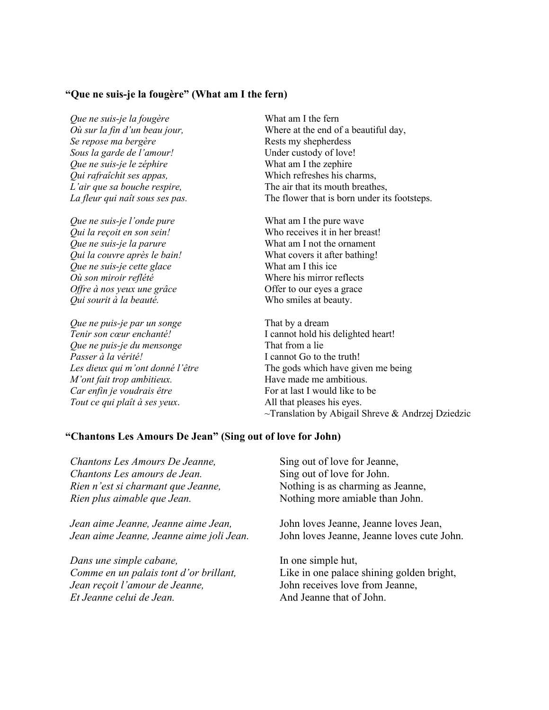#### **"Que ne suis-je la fougère" (What am I the fern)**

*Que ne suis-je la fougère Où sur la fin d'un beau jour, Se repose ma bergère Sous la garde de l'amour! Que ne suis-je le zéphire Qui rafraîchit ses appas, L'air que sa bouche respire, La fleur qui naît sous ses pas.*

*Que ne suis-je l'onde pure Qui la reçoit en son sein! Que ne suis-je la parure Qui la couvre après le bain! Que ne suis-je cette glace Où son miroir reflété Offre à nos yeux une grâce Qui sourit à la beauté.*

*Que ne puis-je par un songe Tenir son cœur enchanté! Que ne puis-je du mensonge Passer à la vérité! Les dieux qui m'ont donné l'être M'ont fait trop ambitieux. Car enfin je voudrais être Tout ce qui plaît à ses yeux*.

What am I the fern Where at the end of a beautiful day, Rests my shepherdess Under custody of love! What am I the zephire Which refreshes his charms, The air that its mouth breathes, The flower that is born under its footsteps.

What am I the pure wave Who receives it in her breast! What am I not the ornament What covers it after bathing! What am I this ice Where his mirror reflects Offer to our eyes a grace Who smiles at beauty.

That by a dream I cannot hold his delighted heart! That from a lie I cannot Go to the truth! The gods which have given me being Have made me ambitious. For at last I would like to be All that pleases his eyes. ~Translation by Abigail Shreve & Andrzej Dziedzic

#### **"Chantons Les Amours De Jean" (Sing out of love for John)**

*Chantons Les Amours De Jeanne, Chantons Les amours de Jean. Rien n'est si charmant que Jeanne, Rien plus aimable que Jean.*

*Jean aime Jeanne, Jeanne aime Jean, Jean aime Jeanne, Jeanne aime joli Jean.*

*Dans une simple cabane, Comme en un palais tont d'or brillant, Jean reçoit l'amour de Jeanne, Et Jeanne celui de Jean.*

Sing out of love for Jeanne, Sing out of love for John. Nothing is as charming as Jeanne, Nothing more amiable than John.

John loves Jeanne, Jeanne loves Jean, John loves Jeanne, Jeanne loves cute John.

In one simple hut, Like in one palace shining golden bright, John receives love from Jeanne, And Jeanne that of John.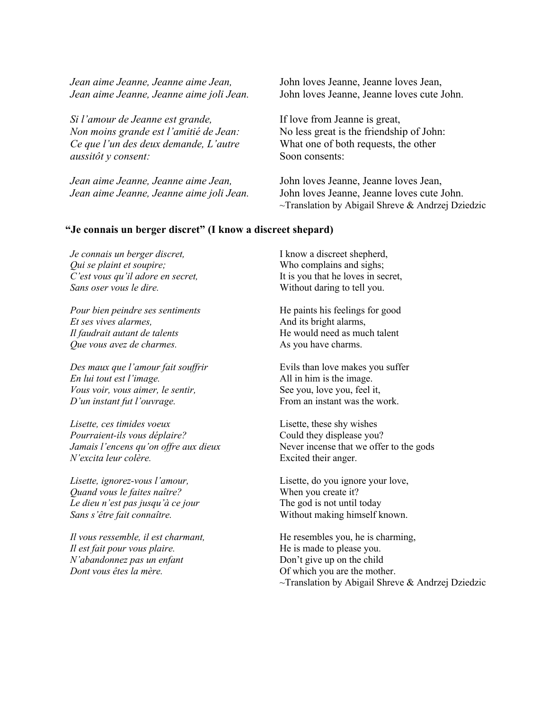*Jean aime Jeanne, Jeanne aime Jean, Jean aime Jeanne, Jeanne aime joli Jean.*

*Si l'amour de Jeanne est grande, Non moins grande est l'amitié de Jean: Ce que l'un des deux demande, L'autre aussitôt y consent:*

*Jean aime Jeanne, Jeanne aime Jean, Jean aime Jeanne, Jeanne aime joli Jean.* John loves Jeanne, Jeanne loves Jean, John loves Jeanne, Jeanne loves cute John.

If love from Jeanne is great, No less great is the friendship of John: What one of both requests, the other Soon consents:

John loves Jeanne, Jeanne loves Jean, John loves Jeanne, Jeanne loves cute John.  $\sim$ Translation by Abigail Shreve & Andrzej Dziedzic

#### **"Je connais un berger discret" (I know a discreet shepard)**

*Je connais un berger discret, Qui se plaint et soupire; C'est vous qu'il adore en secret, Sans oser vous le dire.*

*Pour bien peindre ses sentiments Et ses vives alarmes, Il faudrait autant de talents Que vous avez de charmes.*

*Des maux que l'amour fait souffrir En lui tout est l'image. Vous voir, vous aimer, le sentir, D'un instant fut l'ouvrage.*

*Lisette, ces timides voeux Pourraient-ils vous déplaire? Jamais l'encens qu'on offre aux dieux N'excita leur colère.*

*Lisette, ignorez-vous l'amour, Quand vous le faites naître? Le dieu n'est pas jusqu'à ce jour Sans s'être fait connaître.*

*Il vous ressemble, il est charmant, Il est fait pour vous plaire. N'abandonnez pas un enfant Dont vous êtes la mère.*

I know a discreet shepherd, Who complains and sighs; It is you that he loves in secret, Without daring to tell you.

He paints his feelings for good And its bright alarms, He would need as much talent As you have charms.

Evils than love makes you suffer All in him is the image. See you, love you, feel it, From an instant was the work.

Lisette, these shy wishes Could they displease you? Never incense that we offer to the gods Excited their anger.

Lisette, do you ignore your love, When you create it? The god is not until today Without making himself known.

He resembles you, he is charming, He is made to please you. Don't give up on the child Of which you are the mother. ~Translation by Abigail Shreve & Andrzej Dziedzic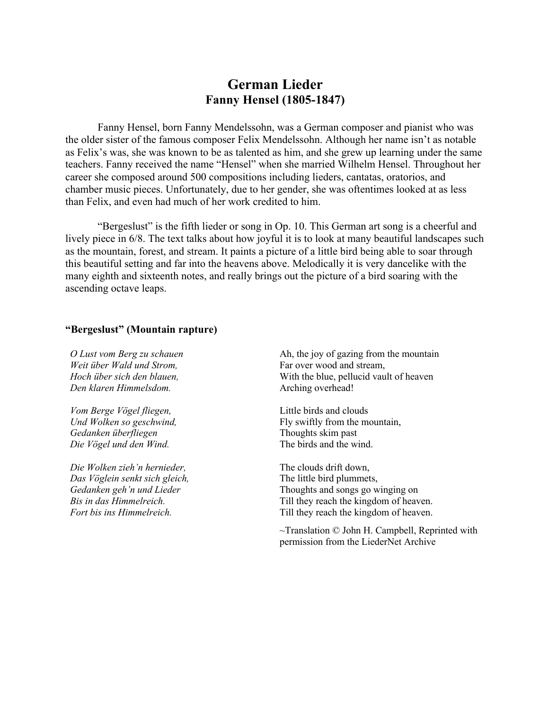# **German Lieder Fanny Hensel (1805-1847)**

Fanny Hensel, born Fanny Mendelssohn, was a German composer and pianist who was the older sister of the famous composer Felix Mendelssohn. Although her name isn't as notable as Felix's was, she was known to be as talented as him, and she grew up learning under the same teachers. Fanny received the name "Hensel" when she married Wilhelm Hensel. Throughout her career she composed around 500 compositions including lieders, cantatas, oratorios, and chamber music pieces. Unfortunately, due to her gender, she was oftentimes looked at as less than Felix, and even had much of her work credited to him.

"Bergeslust" is the fifth lieder or song in Op. 10. This German art song is a cheerful and lively piece in 6/8. The text talks about how joyful it is to look at many beautiful landscapes such as the mountain, forest, and stream. It paints a picture of a little bird being able to soar through this beautiful setting and far into the heavens above. Melodically it is very dancelike with the many eighth and sixteenth notes, and really brings out the picture of a bird soaring with the ascending octave leaps.

#### **"Bergeslust" (Mountain rapture)**

*O Lust vom Berg zu schauen Weit über Wald und Strom, Hoch über sich den blauen, Den klaren Himmelsdom.*

*Vom Berge Vögel fliegen, Und Wolken so geschwind, Gedanken überfliegen Die Vögel und den Wind.*

*Die Wolken zieh'n hernieder, Das Vöglein senkt sich gleich, Gedanken geh'n und Lieder Bis in das Himmelreich. Fort bis ins Himmelreich.*

Ah, the joy of gazing from the mountain Far over wood and stream, With the blue, pellucid vault of heaven Arching overhead!

Little birds and clouds Fly swiftly from the mountain, Thoughts skim past The birds and the wind.

The clouds drift down, The little bird plummets, Thoughts and songs go winging on Till they reach the kingdom of heaven. Till they reach the kingdom of heaven.

 $\sim$ Translation © John H. Campbell, Reprinted with permission from the LiederNet Archive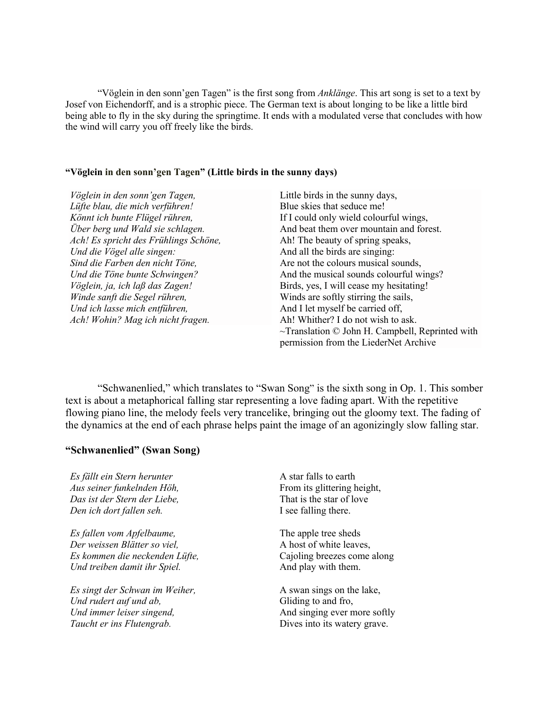"Vöglein in den sonn'gen Tagen" is the first song from *Anklänge*. This art song is set to a text by Josef von Eichendorff, and is a strophic piece. The German text is about longing to be like a little bird being able to fly in the sky during the springtime. It ends with a modulated verse that concludes with how the wind will carry you off freely like the birds.

#### **"Vöglein in den sonn'gen Tagen" (Little birds in the sunny days)**

*Vöglein in den sonn'gen Tagen, Lüfte blau, die mich verführen! Könnt ich bunte Flügel rühren, Über berg und Wald sie schlagen. Ach! Es spricht des Frühlings Schöne, Und die Vögel alle singen: Sind die Farben den nicht Töne, Und die Töne bunte Schwingen? Vöglein, ja, ich laß das Zagen! Winde sanft die Segel rühren, Und ich lasse mich entführen, Ach! Wohin? Mag ich nicht fragen.*

Little birds in the sunny days, Blue skies that seduce me! If I could only wield colourful wings, And beat them over mountain and forest. Ah! The beauty of spring speaks, And all the birds are singing: Are not the colours musical sounds, And the musical sounds colourful wings? Birds, yes, I will cease my hesitating! Winds are softly stirring the sails, And I let myself be carried off, Ah! Whither? I do not wish to ask. ~Translation © John H. Campbell, Reprinted with permission from the LiederNet Archive

"Schwanenlied," which translates to "Swan Song" is the sixth song in Op. 1. This somber text is about a metaphorical falling star representing a love fading apart. With the repetitive flowing piano line, the melody feels very trancelike, bringing out the gloomy text. The fading of the dynamics at the end of each phrase helps paint the image of an agonizingly slow falling star.

#### **"Schwanenlied" (Swan Song)**

*Es fällt ein Stern herunter Aus seiner funkelnden Höh, Das ist der Stern der Liebe, Den ich dort fallen seh.*

*Es fallen vom Apfelbaume, Der weissen Blätter so viel, Es kommen die neckenden Lüfte, Und treiben damit ihr Spiel.*

*Es singt der Schwan im Weiher, Und rudert auf und ab, Und immer leiser singend, Taucht er ins Flutengrab.*

A star falls to earth From its glittering height, That is the star of love I see falling there.

The apple tree sheds A host of white leaves, Cajoling breezes come along And play with them.

A swan sings on the lake, Gliding to and fro, And singing ever more softly Dives into its watery grave.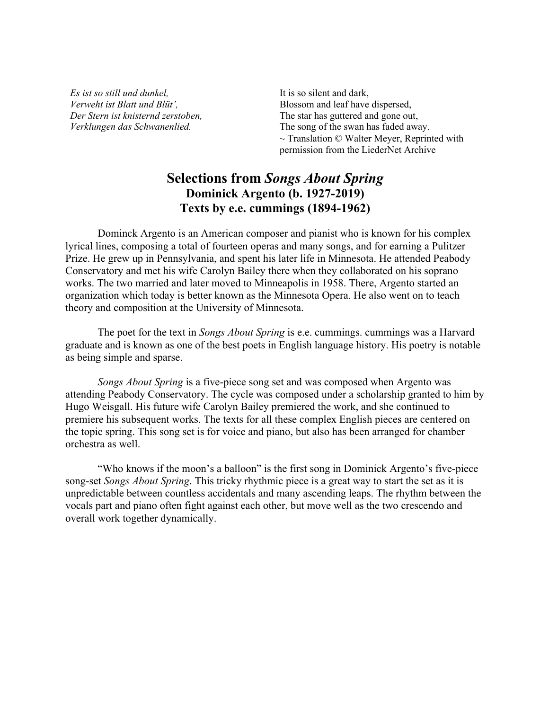*Es ist so still und dunkel, Verweht ist Blatt und Blüt', Der Stern ist knisternd zerstoben, Verklungen das Schwanenlied.*

It is so silent and dark, Blossom and leaf have dispersed, The star has guttered and gone out, The song of the swan has faded away.  $\sim$  Translation © Walter Meyer, Reprinted with permission from the LiederNet Archive

# **Selections from** *Songs About Spring* **Dominick Argento (b. 1927-2019) Texts by e.e. cummings (1894-1962)**

Dominck Argento is an American composer and pianist who is known for his complex lyrical lines, composing a total of fourteen operas and many songs, and for earning a Pulitzer Prize. He grew up in Pennsylvania, and spent his later life in Minnesota. He attended Peabody Conservatory and met his wife Carolyn Bailey there when they collaborated on his soprano works. The two married and later moved to Minneapolis in 1958. There, Argento started an organization which today is better known as the Minnesota Opera. He also went on to teach theory and composition at the University of Minnesota.

The poet for the text in *Songs About Spring* is e.e. cummings. cummings was a Harvard graduate and is known as one of the best poets in English language history. His poetry is notable as being simple and sparse.

*Songs About Spring* is a five-piece song set and was composed when Argento was attending Peabody Conservatory. The cycle was composed under a scholarship granted to him by Hugo Weisgall. His future wife Carolyn Bailey premiered the work, and she continued to premiere his subsequent works. The texts for all these complex English pieces are centered on the topic spring. This song set is for voice and piano, but also has been arranged for chamber orchestra as well.

"Who knows if the moon's a balloon" is the first song in Dominick Argento's five-piece song-set *Songs About Spring*. This tricky rhythmic piece is a great way to start the set as it is unpredictable between countless accidentals and many ascending leaps. The rhythm between the vocals part and piano often fight against each other, but move well as the two crescendo and overall work together dynamically.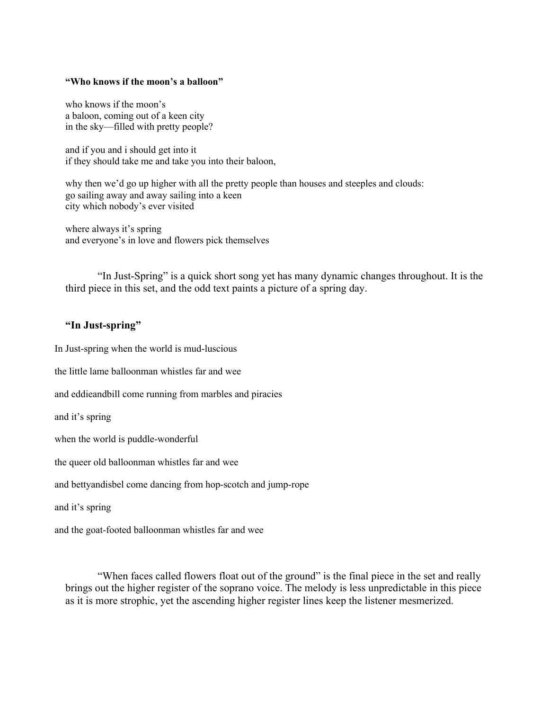#### **"Who knows if the moon's a balloon"**

who knows if the moon's a baloon, coming out of a keen city in the sky—filled with pretty people?

and if you and i should get into it if they should take me and take you into their baloon,

why then we'd go up higher with all the pretty people than houses and steeples and clouds: go sailing away and away sailing into a keen city which nobody's ever visited

where always it's spring and everyone's in love and flowers pick themselves

"In Just-Spring" is a quick short song yet has many dynamic changes throughout. It is the third piece in this set, and the odd text paints a picture of a spring day.

## **"In Just-spring"**

In Just-spring when the world is mud-luscious

the little lame balloonman whistles far and wee

and eddieandbill come running from marbles and piracies

and it's spring

when the world is puddle-wonderful

the queer old balloonman whistles far and wee

and bettyandisbel come dancing from hop-scotch and jump-rope

and it's spring

and the goat-footed balloonman whistles far and wee

"When faces called flowers float out of the ground" is the final piece in the set and really brings out the higher register of the soprano voice. The melody is less unpredictable in this piece as it is more strophic, yet the ascending higher register lines keep the listener mesmerized.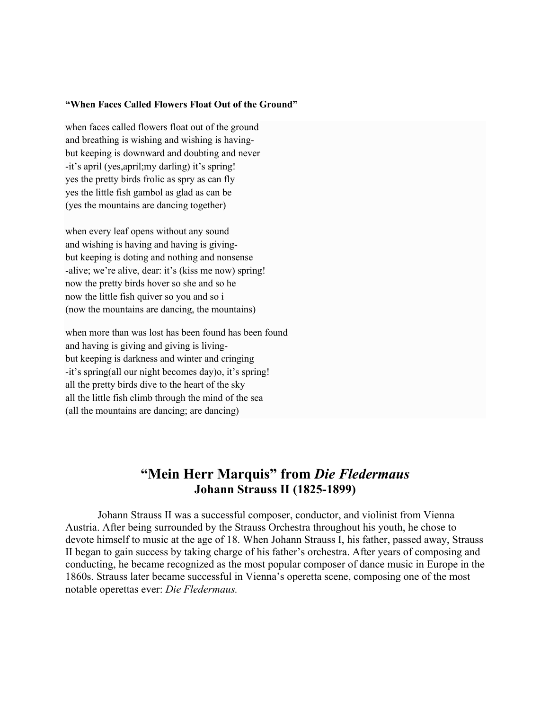#### **"When Faces Called Flowers Float Out of the Ground"**

when faces called flowers float out of the ground and breathing is wishing and wishing is havingbut keeping is downward and doubting and never -it's april (yes,april;my darling) it's spring! yes the pretty birds frolic as spry as can fly yes the little fish gambol as glad as can be (yes the mountains are dancing together)

when every leaf opens without any sound and wishing is having and having is givingbut keeping is doting and nothing and nonsense -alive; we're alive, dear: it's (kiss me now) spring! now the pretty birds hover so she and so he now the little fish quiver so you and so i (now the mountains are dancing, the mountains)

when more than was lost has been found has been found and having is giving and giving is livingbut keeping is darkness and winter and cringing -it's spring(all our night becomes day)o, it's spring! all the pretty birds dive to the heart of the sky all the little fish climb through the mind of the sea (all the mountains are dancing; are dancing)

## **"Mein Herr Marquis" from** *Die Fledermaus* **Johann Strauss II (1825-1899)**

Johann Strauss II was a successful composer, conductor, and violinist from Vienna Austria. After being surrounded by the Strauss Orchestra throughout his youth, he chose to devote himself to music at the age of 18. When Johann Strauss I, his father, passed away, Strauss II began to gain success by taking charge of his father's orchestra. After years of composing and conducting, he became recognized as the most popular composer of dance music in Europe in the 1860s. Strauss later became successful in Vienna's operetta scene, composing one of the most notable operettas ever: *Die Fledermaus.*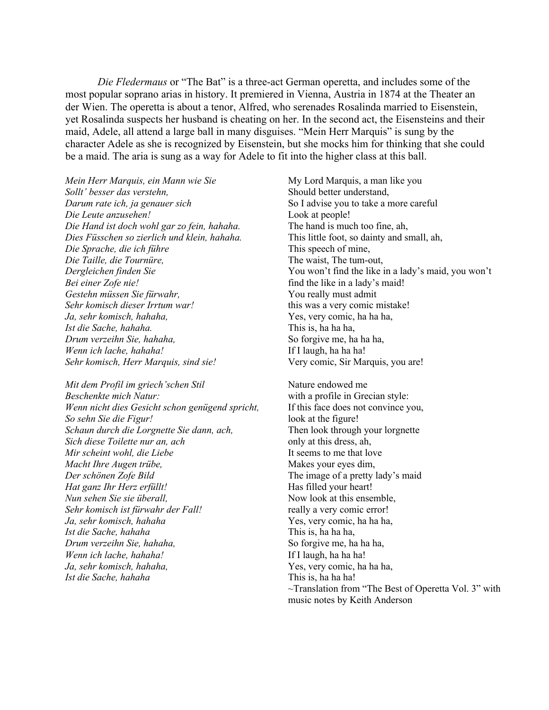*Die Fledermaus* or "The Bat" is a three-act German operetta, and includes some of the most popular soprano arias in history. It premiered in Vienna, Austria in 1874 at the Theater an der Wien. The operetta is about a tenor, Alfred, who serenades Rosalinda married to Eisenstein, yet Rosalinda suspects her husband is cheating on her. In the second act, the Eisensteins and their maid, Adele, all attend a large ball in many disguises. "Mein Herr Marquis" is sung by the character Adele as she is recognized by Eisenstein, but she mocks him for thinking that she could be a maid. The aria is sung as a way for Adele to fit into the higher class at this ball.

*Mein Herr Marquis, ein Mann wie Sie Sollt' besser das verstehn, Darum rate ich, ja genauer sich Die Leute anzusehen! Die Hand ist doch wohl gar zo fein, hahaha. Dies Füsschen so zierlich und klein, hahaha. Die Sprache, die ich führe Die Taille, die Tournüre, Dergleichen finden Sie Bei einer Zofe nie! Gestehn müssen Sie fürwahr, Sehr komisch dieser Irrtum war! Ja, sehr komisch, hahaha, Ist die Sache, hahaha. Drum verzeihn Sie, hahaha, Wenn ich lache, hahaha! Sehr komisch, Herr Marquis, sind sie!*

*Mit dem Profil im griech'schen Stil Beschenkte mich Natur: Wenn nicht dies Gesicht schon genügend spricht, So sehn Sie die Figur! Schaun durch die Lorgnette Sie dann, ach, Sich diese Toilette nur an, ach Mir scheint wohl, die Liebe Macht Ihre Augen trübe, Der schönen Zofe Bild Hat ganz Ihr Herz erfüllt! Nun sehen Sie sie überall, Sehr komisch ist fürwahr der Fall! Ja, sehr komisch, hahaha Ist die Sache, hahaha Drum verzeihn Sie, hahaha, Wenn ich lache, hahaha! Ja, sehr komisch, hahaha, Ist die Sache, hahaha* 

My Lord Marquis, a man like you Should better understand, So I advise you to take a more careful Look at people! The hand is much too fine, ah, This little foot, so dainty and small, ah, This speech of mine, The waist, The tum-out, You won't find the like in a lady's maid, you won't find the like in a lady's maid! You really must admit this was a very comic mistake! Yes, very comic, ha ha ha, This is, ha ha ha, So forgive me, ha ha ha, If I laugh, ha ha ha! Very comic, Sir Marquis, you are! Nature endowed me with a profile in Grecian style: If this face does not convince you,

look at the figure! Then look through your lorgnette only at this dress, ah, It seems to me that love Makes your eyes dim, The image of a pretty lady's maid Has filled your heart! Now look at this ensemble, really a very comic error! Yes, very comic, ha ha ha, This is, ha ha ha, So forgive me, ha ha ha, If I laugh, ha ha ha! Yes, very comic, ha ha ha, This is, ha ha ha! ~Translation from "The Best of Operetta Vol. 3" with music notes by Keith Anderson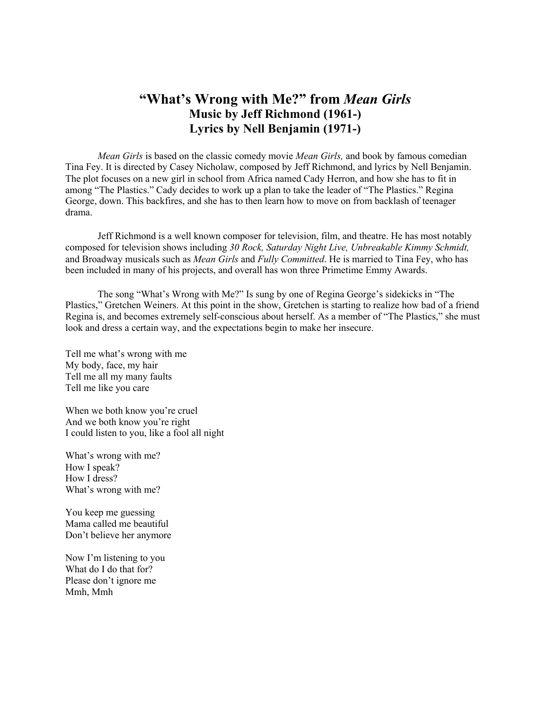# **"What's Wrong with Me?" from** *Mean Girls* **Music by Jeff Richmond (1961-) Lyrics by Nell Benjamin (1971-)**

*Mean Girls* is based on the classic comedy movie *Mean Girls,* and book by famous comedian Tina Fey. It is directed by Casey Nicholaw, composed by Jeff Richmond, and lyrics by Nell Benjamin. The plot focuses on a new girl in school from Africa named Cady Herron, and how she has to fit in among "The Plastics." Cady decides to work up a plan to take the leader of "The Plastics." Regina George, down. This backfires, and she has to then learn how to move on from backlash of teenager drama.

Jeff Richmond is a well known composer for television, film, and theatre. He has most notably composed for television shows including *30 Rock, Saturday Night Live, Unbreakable Kimmy Schmidt,*  and Broadway musicals such as *Mean Girls* and *Fully Committed*. He is married to Tina Fey, who has been included in many of his projects, and overall has won three Primetime Emmy Awards.

The song "What's Wrong with Me?" Is sung by one of Regina George's sidekicks in "The Plastics," Gretchen Weiners. At this point in the show, Gretchen is starting to realize how bad of a friend Regina is, and becomes extremely self-conscious about herself. As a member of "The Plastics," she must look and dress a certain way, and the expectations begin to make her insecure.

Tell me what's wrong with me My body, face, my hair Tell me all my many faults Tell me like you care

When we both know you're cruel And we both know you're right I could listen to you, like a fool all night

What's wrong with me? How I speak? How I dress? What's wrong with me?

You keep me guessing Mama called me beautiful Don't believe her anymore

Now I'm listening to you What do I do that for? Please don't ignore me Mmh, Mmh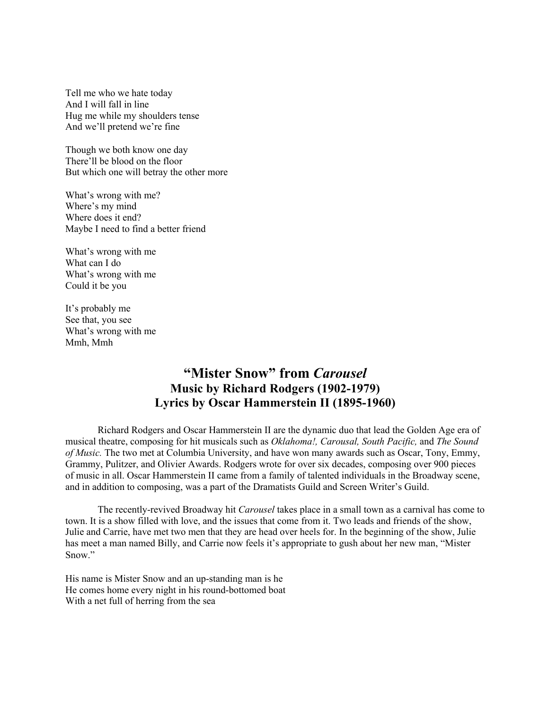Tell me who we hate today And I will fall in line Hug me while my shoulders tense And we'll pretend we're fine

Though we both know one day There'll be blood on the floor But which one will betray the other more

What's wrong with me? Where's my mind Where does it end? Maybe I need to find a better friend

What's wrong with me What can I do What's wrong with me Could it be you

It's probably me See that, you see What's wrong with me Mmh, Mmh

## **"Mister Snow" from** *Carousel* **Music by Richard Rodgers (1902-1979) Lyrics by Oscar Hammerstein II (1895-1960)**

Richard Rodgers and Oscar Hammerstein II are the dynamic duo that lead the Golden Age era of musical theatre, composing for hit musicals such as *Oklahoma!, Carousal, South Pacific,* and *The Sound of Music.* The two met at Columbia University, and have won many awards such as Oscar, Tony, Emmy, Grammy, Pulitzer, and Olivier Awards. Rodgers wrote for over six decades, composing over 900 pieces of music in all. Oscar Hammerstein II came from a family of talented individuals in the Broadway scene, and in addition to composing, was a part of the Dramatists Guild and Screen Writer's Guild.

The recently-revived Broadway hit *Carousel* takes place in a small town as a carnival has come to town. It is a show filled with love, and the issues that come from it. Two leads and friends of the show, Julie and Carrie, have met two men that they are head over heels for. In the beginning of the show, Julie has meet a man named Billy, and Carrie now feels it's appropriate to gush about her new man, "Mister Snow."

His name is Mister Snow and an up-standing man is he He comes home every night in his round-bottomed boat With a net full of herring from the sea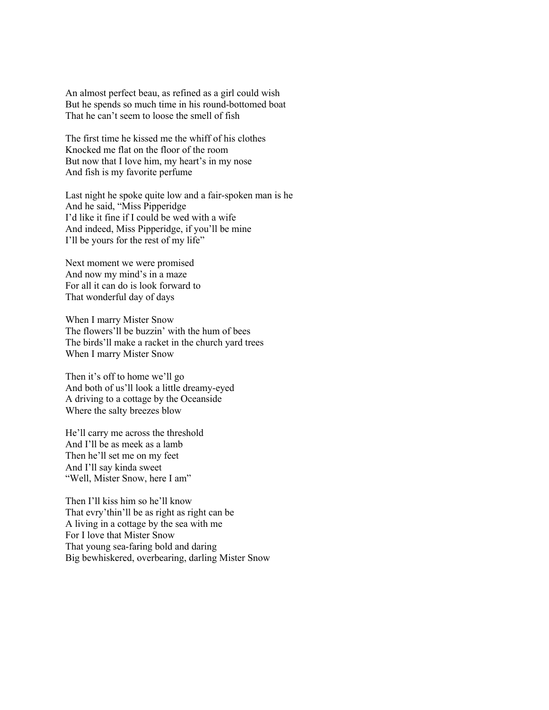An almost perfect beau, as refined as a girl could wish But he spends so much time in his round-bottomed boat That he can't seem to loose the smell of fish

The first time he kissed me the whiff of his clothes Knocked me flat on the floor of the room But now that I love him, my heart's in my nose And fish is my favorite perfume

Last night he spoke quite low and a fair-spoken man is he And he said, "Miss Pipperidge I'd like it fine if I could be wed with a wife And indeed, Miss Pipperidge, if you'll be mine I'll be yours for the rest of my life"

Next moment we were promised And now my mind's in a maze For all it can do is look forward to That wonderful day of days

When I marry Mister Snow The flowers'll be buzzin' with the hum of bees The birds'll make a racket in the church yard trees When I marry Mister Snow

Then it's off to home we'll go And both of us'll look a little dreamy-eyed A driving to a cottage by the Oceanside Where the salty breezes blow

He'll carry me across the threshold And I'll be as meek as a lamb Then he'll set me on my feet And I'll say kinda sweet "Well, Mister Snow, here I am"

Then I'll kiss him so he'll know That evry'thin'll be as right as right can be A living in a cottage by the sea with me For I love that Mister Snow That young sea-faring bold and daring Big bewhiskered, overbearing, darling Mister Snow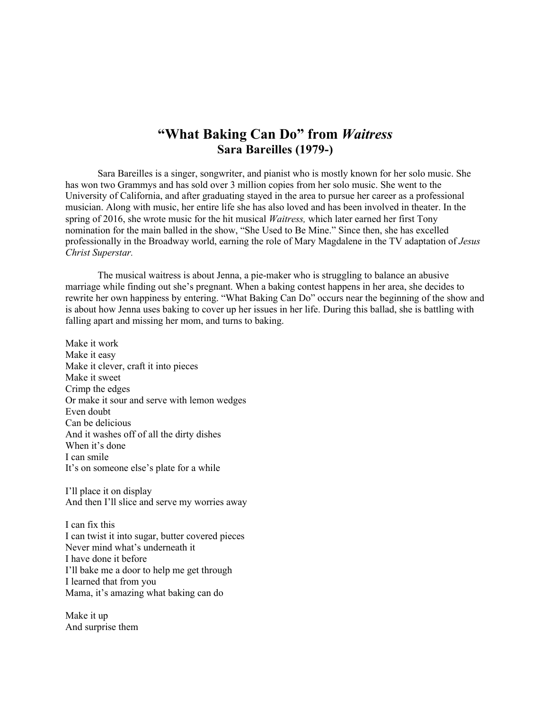# **"What Baking Can Do" from** *Waitress* **Sara Bareilles (1979-)**

Sara Bareilles is a singer, songwriter, and pianist who is mostly known for her solo music. She has won two Grammys and has sold over 3 million copies from her solo music. She went to the University of California, and after graduating stayed in the area to pursue her career as a professional musician. Along with music, her entire life she has also loved and has been involved in theater. In the spring of 2016, she wrote music for the hit musical *Waitress,* which later earned her first Tony nomination for the main balled in the show, "She Used to Be Mine." Since then, she has excelled professionally in the Broadway world, earning the role of Mary Magdalene in the TV adaptation of *Jesus Christ Superstar.*

The musical waitress is about Jenna, a pie-maker who is struggling to balance an abusive marriage while finding out she's pregnant. When a baking contest happens in her area, she decides to rewrite her own happiness by entering. "What Baking Can Do" occurs near the beginning of the show and is about how Jenna uses baking to cover up her issues in her life. During this ballad, she is battling with falling apart and missing her mom, and turns to baking.

Make it work Make it easy Make it clever, craft it into pieces Make it sweet Crimp the edges Or make it sour and serve with lemon wedges Even doubt Can be delicious And it washes off of all the dirty dishes When it's done I can smile It's on someone else's plate for a while

I'll place it on display And then I'll slice and serve my worries away

I can fix this I can twist it into sugar, butter covered pieces Never mind what's underneath it I have done it before I'll bake me a door to help me get through I learned that from you Mama, it's amazing what baking can do

Make it up And surprise them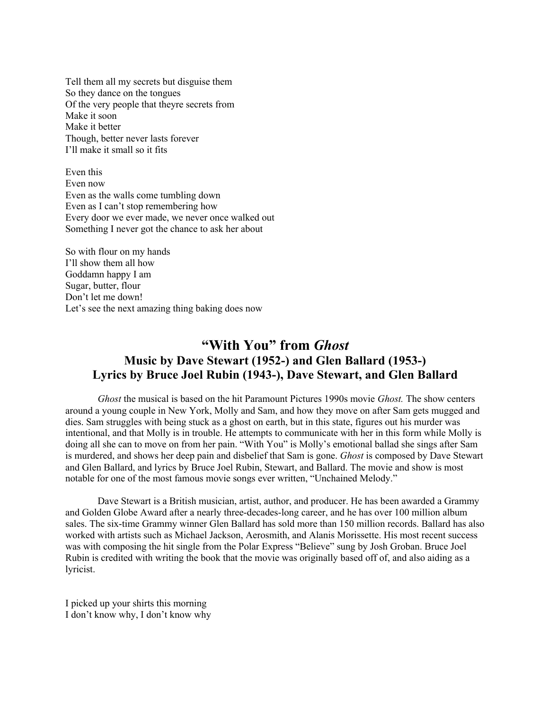Tell them all my secrets but disguise them So they dance on the tongues Of the very people that theyre secrets from Make it soon Make it better Though, better never lasts forever I'll make it small so it fits

Even this Even now Even as the walls come tumbling down Even as I can't stop remembering how Every door we ever made, we never once walked out Something I never got the chance to ask her about

So with flour on my hands I'll show them all how Goddamn happy I am Sugar, butter, flour Don't let me down! Let's see the next amazing thing baking does now

# **"With You" from** *Ghost* **Music by Dave Stewart (1952-) and Glen Ballard (1953-) Lyrics by Bruce Joel Rubin (1943-), Dave Stewart, and Glen Ballard**

*Ghost* the musical is based on the hit Paramount Pictures 1990s movie *Ghost.* The show centers around a young couple in New York, Molly and Sam, and how they move on after Sam gets mugged and dies. Sam struggles with being stuck as a ghost on earth, but in this state, figures out his murder was intentional, and that Molly is in trouble. He attempts to communicate with her in this form while Molly is doing all she can to move on from her pain. "With You" is Molly's emotional ballad she sings after Sam is murdered, and shows her deep pain and disbelief that Sam is gone. *Ghost* is composed by Dave Stewart and Glen Ballard, and lyrics by Bruce Joel Rubin, Stewart, and Ballard. The movie and show is most notable for one of the most famous movie songs ever written, "Unchained Melody."

Dave Stewart is a British musician, artist, author, and producer. He has been awarded a Grammy and Golden Globe Award after a nearly three-decades-long career, and he has over 100 million album sales. The six-time Grammy winner Glen Ballard has sold more than 150 million records. Ballard has also worked with artists such as Michael Jackson, Aerosmith, and Alanis Morissette. His most recent success was with composing the hit single from the Polar Express "Believe" sung by Josh Groban. Bruce Joel Rubin is credited with writing the book that the movie was originally based off of, and also aiding as a lyricist.

I picked up your shirts this morning I don't know why, I don't know why